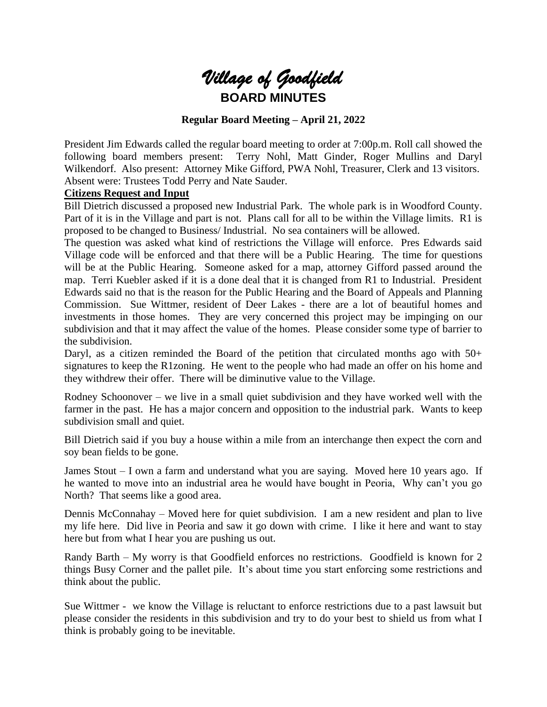

#### **Regular Board Meeting – April 21, 2022**

President Jim Edwards called the regular board meeting to order at 7:00p.m. Roll call showed the following board members present: Terry Nohl, Matt Ginder, Roger Mullins and Daryl Wilkendorf. Also present: Attorney Mike Gifford, PWA Nohl, Treasurer, Clerk and 13 visitors. Absent were: Trustees Todd Perry and Nate Sauder.

#### **Citizens Request and Input**

Bill Dietrich discussed a proposed new Industrial Park. The whole park is in Woodford County. Part of it is in the Village and part is not. Plans call for all to be within the Village limits. R1 is proposed to be changed to Business/ Industrial. No sea containers will be allowed.

The question was asked what kind of restrictions the Village will enforce. Pres Edwards said Village code will be enforced and that there will be a Public Hearing. The time for questions will be at the Public Hearing. Someone asked for a map, attorney Gifford passed around the map. Terri Kuebler asked if it is a done deal that it is changed from R1 to Industrial. President Edwards said no that is the reason for the Public Hearing and the Board of Appeals and Planning Commission. Sue Wittmer, resident of Deer Lakes - there are a lot of beautiful homes and investments in those homes. They are very concerned this project may be impinging on our subdivision and that it may affect the value of the homes. Please consider some type of barrier to the subdivision.

Daryl, as a citizen reminded the Board of the petition that circulated months ago with 50+ signatures to keep the R1zoning. He went to the people who had made an offer on his home and they withdrew their offer. There will be diminutive value to the Village.

Rodney Schoonover – we live in a small quiet subdivision and they have worked well with the farmer in the past. He has a major concern and opposition to the industrial park. Wants to keep subdivision small and quiet.

Bill Dietrich said if you buy a house within a mile from an interchange then expect the corn and soy bean fields to be gone.

James Stout – I own a farm and understand what you are saying. Moved here 10 years ago. If he wanted to move into an industrial area he would have bought in Peoria, Why can't you go North? That seems like a good area.

Dennis McConnahay – Moved here for quiet subdivision. I am a new resident and plan to live my life here. Did live in Peoria and saw it go down with crime. I like it here and want to stay here but from what I hear you are pushing us out.

Randy Barth – My worry is that Goodfield enforces no restrictions. Goodfield is known for 2 things Busy Corner and the pallet pile. It's about time you start enforcing some restrictions and think about the public.

Sue Wittmer - we know the Village is reluctant to enforce restrictions due to a past lawsuit but please consider the residents in this subdivision and try to do your best to shield us from what I think is probably going to be inevitable.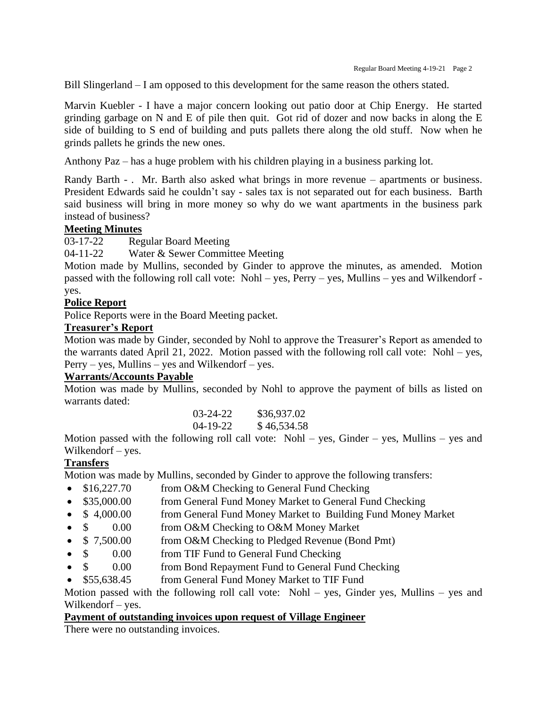Bill Slingerland – I am opposed to this development for the same reason the others stated.

Marvin Kuebler - I have a major concern looking out patio door at Chip Energy. He started grinding garbage on N and E of pile then quit. Got rid of dozer and now backs in along the E side of building to S end of building and puts pallets there along the old stuff. Now when he grinds pallets he grinds the new ones.

Anthony Paz – has a huge problem with his children playing in a business parking lot.

Randy Barth - . Mr. Barth also asked what brings in more revenue – apartments or business. President Edwards said he couldn't say - sales tax is not separated out for each business. Barth said business will bring in more money so why do we want apartments in the business park instead of business?

#### **Meeting Minutes**

03-17-22 Regular Board Meeting

04-11-22 Water & Sewer Committee Meeting

Motion made by Mullins, seconded by Ginder to approve the minutes, as amended. Motion passed with the following roll call vote: Nohl – yes, Perry – yes, Mullins – yes and Wilkendorf yes.

#### **Police Report**

Police Reports were in the Board Meeting packet.

#### **Treasurer's Report**

Motion was made by Ginder, seconded by Nohl to approve the Treasurer's Report as amended to the warrants dated April 21, 2022. Motion passed with the following roll call vote: Nohl – yes,  $Perry - yes$ , Mullins – yes and Wilkendorf – yes.

#### **Warrants/Accounts Payable**

Motion was made by Mullins, seconded by Nohl to approve the payment of bills as listed on warrants dated:

| 03-24-22 | \$36,937.02 |
|----------|-------------|
| 04-19-22 | \$46,534.58 |

Motion passed with the following roll call vote: Nohl – yes, Ginder – yes, Mullins – yes and Wilkendorf – yes.

#### **Transfers**

Motion was made by Mullins, seconded by Ginder to approve the following transfers:

- \$16,227.70 from O&M Checking to General Fund Checking
- \$35,000.00 from General Fund Money Market to General Fund Checking
- \$ 4,000.00 from General Fund Money Market to Building Fund Money Market
- \$ 0.00 from O&M Checking to O&M Money Market
- $\frac{1}{2}$  7,500.00 from O&M Checking to Pledged Revenue (Bond Pmt)
- \$ 0.00 from TIF Fund to General Fund Checking
- \$ 0.00 from Bond Repayment Fund to General Fund Checking
- \$55,638.45 from General Fund Money Market to TIF Fund

Motion passed with the following roll call vote: Nohl – yes, Ginder yes, Mullins – yes and Wilkendorf – yes.

#### **Payment of outstanding invoices upon request of Village Engineer**

There were no outstanding invoices.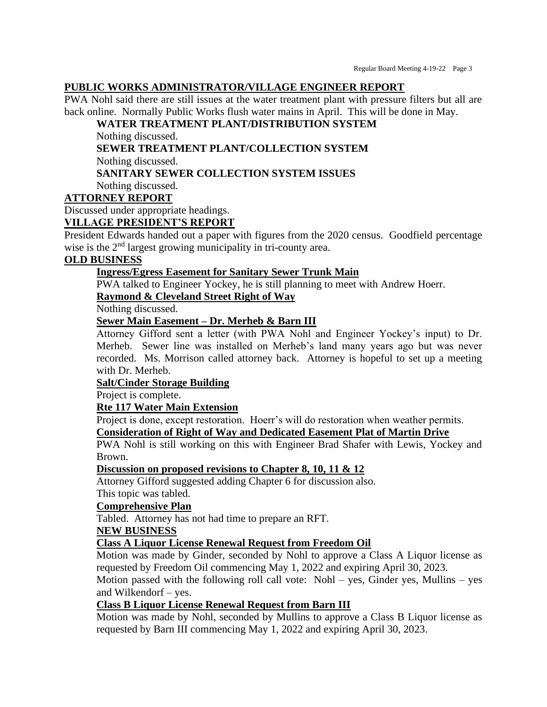#### **PUBLIC WORKS ADMINISTRATOR/VILLAGE ENGINEER REPORT**

PWA Nohl said there are still issues at the water treatment plant with pressure filters but all are back online. Normally Public Works flush water mains in April. This will be done in May.

## **WATER TREATMENT PLANT/DISTRIBUTION SYSTEM**

Nothing discussed.

**SEWER TREATMENT PLANT/COLLECTION SYSTEM**

Nothing discussed.

## **SANITARY SEWER COLLECTION SYSTEM ISSUES**

Nothing discussed.

## **ATTORNEY REPORT**

Discussed under appropriate headings.

## **VILLAGE PRESIDENT'S REPORT**

President Edwards handed out a paper with figures from the 2020 census. Goodfield percentage wise is the 2<sup>nd</sup> largest growing municipality in tri-county area.

### **OLD BUSINESS**

## **Ingress/Egress Easement for Sanitary Sewer Trunk Main**

PWA talked to Engineer Yockey, he is still planning to meet with Andrew Hoerr.

## **Raymond & Cleveland Street Right of Way**

Nothing discussed.

## **Sewer Main Easement – Dr. Merheb & Barn III**

Attorney Gifford sent a letter (with PWA Nohl and Engineer Yockey's input) to Dr. Merheb. Sewer line was installed on Merheb's land many years ago but was never recorded. Ms. Morrison called attorney back. Attorney is hopeful to set up a meeting with Dr. Merheb.

## **Salt/Cinder Storage Building**

Project is complete.

## **Rte 117 Water Main Extension**

Project is done, except restoration. Hoerr's will do restoration when weather permits.

## **Consideration of Right of Way and Dedicated Easement Plat of Martin Drive**

PWA Nohl is still working on this with Engineer Brad Shafer with Lewis, Yockey and Brown.

#### **Discussion on proposed revisions to Chapter 8, 10, 11 & 12**

Attorney Gifford suggested adding Chapter 6 for discussion also.

This topic was tabled.

## **Comprehensive Plan**

Tabled. Attorney has not had time to prepare an RFT.

#### **NEW BUSINESS**

## **Class A Liquor License Renewal Request from Freedom Oil**

Motion was made by Ginder, seconded by Nohl to approve a Class A Liquor license as requested by Freedom Oil commencing May 1, 2022 and expiring April 30, 2023.

Motion passed with the following roll call vote: Nohl – yes, Ginder yes, Mullins – yes and Wilkendorf – yes.

## **Class B Liquor License Renewal Request from Barn III**

Motion was made by Nohl, seconded by Mullins to approve a Class B Liquor license as requested by Barn III commencing May 1, 2022 and expiring April 30, 2023.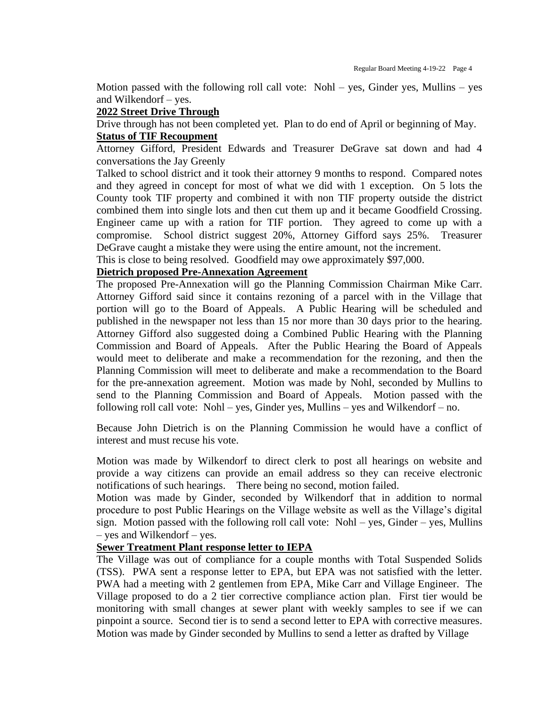Motion passed with the following roll call vote: Nohl – yes, Ginder yes, Mullins – yes and Wilkendorf – yes.

#### **2022 Street Drive Through**

Drive through has not been completed yet. Plan to do end of April or beginning of May.

# **Status of TIF Recoupment**

Attorney Gifford, President Edwards and Treasurer DeGrave sat down and had 4 conversations the Jay Greenly

Talked to school district and it took their attorney 9 months to respond. Compared notes and they agreed in concept for most of what we did with 1 exception. On 5 lots the County took TIF property and combined it with non TIF property outside the district combined them into single lots and then cut them up and it became Goodfield Crossing. Engineer came up with a ration for TIF portion. They agreed to come up with a compromise. School district suggest 20%, Attorney Gifford says 25%. Treasurer DeGrave caught a mistake they were using the entire amount, not the increment.

This is close to being resolved. Goodfield may owe approximately \$97,000.

## **Dietrich proposed Pre-Annexation Agreement**

The proposed Pre-Annexation will go the Planning Commission Chairman Mike Carr. Attorney Gifford said since it contains rezoning of a parcel with in the Village that portion will go to the Board of Appeals. A Public Hearing will be scheduled and published in the newspaper not less than 15 nor more than 30 days prior to the hearing. Attorney Gifford also suggested doing a Combined Public Hearing with the Planning Commission and Board of Appeals. After the Public Hearing the Board of Appeals would meet to deliberate and make a recommendation for the rezoning, and then the Planning Commission will meet to deliberate and make a recommendation to the Board for the pre-annexation agreement. Motion was made by Nohl, seconded by Mullins to send to the Planning Commission and Board of Appeals. Motion passed with the following roll call vote: Nohl – yes, Ginder yes, Mullins – yes and Wilkendorf – no.

Because John Dietrich is on the Planning Commission he would have a conflict of interest and must recuse his vote.

Motion was made by Wilkendorf to direct clerk to post all hearings on website and provide a way citizens can provide an email address so they can receive electronic notifications of such hearings. There being no second, motion failed.

Motion was made by Ginder, seconded by Wilkendorf that in addition to normal procedure to post Public Hearings on the Village website as well as the Village's digital sign. Motion passed with the following roll call vote:  $Nohl - yes$ , Ginder – yes, Mullins – yes and Wilkendorf – yes.

#### **Sewer Treatment Plant response letter to IEPA**

The Village was out of compliance for a couple months with Total Suspended Solids (TSS). PWA sent a response letter to EPA, but EPA was not satisfied with the letter. PWA had a meeting with 2 gentlemen from EPA, Mike Carr and Village Engineer. The Village proposed to do a 2 tier corrective compliance action plan. First tier would be monitoring with small changes at sewer plant with weekly samples to see if we can pinpoint a source. Second tier is to send a second letter to EPA with corrective measures. Motion was made by Ginder seconded by Mullins to send a letter as drafted by Village